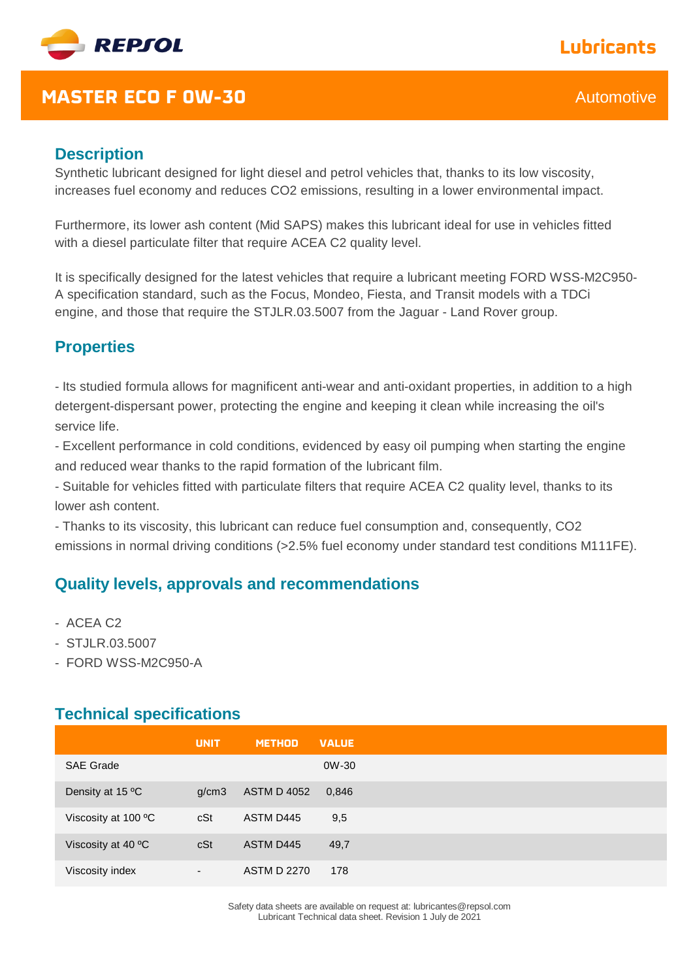

# **Lubricants**

### **MASTER ECO F 0W-30** Automotive

#### **Description**

Synthetic lubricant designed for light diesel and petrol vehicles that, thanks to its low viscosity, increases fuel economy and reduces CO2 emissions, resulting in a lower environmental impact.

Furthermore, its lower ash content (Mid SAPS) makes this lubricant ideal for use in vehicles fitted with a diesel particulate filter that require ACEA C2 quality level.

It is specifically designed for the latest vehicles that require a lubricant meeting FORD WSS-M2C950- A specification standard, such as the Focus, Mondeo, Fiesta, and Transit models with a TDCi engine, and those that require the STJLR.03.5007 from the Jaguar - Land Rover group.

### **Properties**

- Its studied formula allows for magnificent anti-wear and anti-oxidant properties, in addition to a high detergent-dispersant power, protecting the engine and keeping it clean while increasing the oil's service life. 

- Excellent performance in cold conditions, evidenced by easy oil pumping when starting the engine and reduced wear thanks to the rapid formation of the lubricant film. 

- Suitable for vehicles fitted with particulate filters that require ACEA C2 quality level, thanks to its lower ash content. 

- Thanks to its viscosity, this lubricant can reduce fuel consumption and, consequently, CO2 emissions in normal driving conditions (>2.5% fuel economy under standard test conditions M111FE).

### **Quality levels, approvals and recommendations**

- ACEA C2
- STJLR.03.5007
- FORD WSS-M2C950-A

#### **Technical specifications**

|                     | <b>UNIT</b> | <b>METHOD</b>      | <b>VALUE</b> |
|---------------------|-------------|--------------------|--------------|
| <b>SAE Grade</b>    |             |                    | 0W-30        |
| Density at 15 °C    | g/cm3       | <b>ASTM D 4052</b> | 0,846        |
| Viscosity at 100 °C | cSt         | ASTM D445          | 9,5          |
| Viscosity at 40 °C  | cSt         | ASTM D445          | 49,7         |
| Viscosity index     | ۰.          | <b>ASTM D 2270</b> | 178          |

Safety data sheets are available on request at: lubricantes@repsol.com Lubricant Technical data sheet. Revision 1 July de 2021